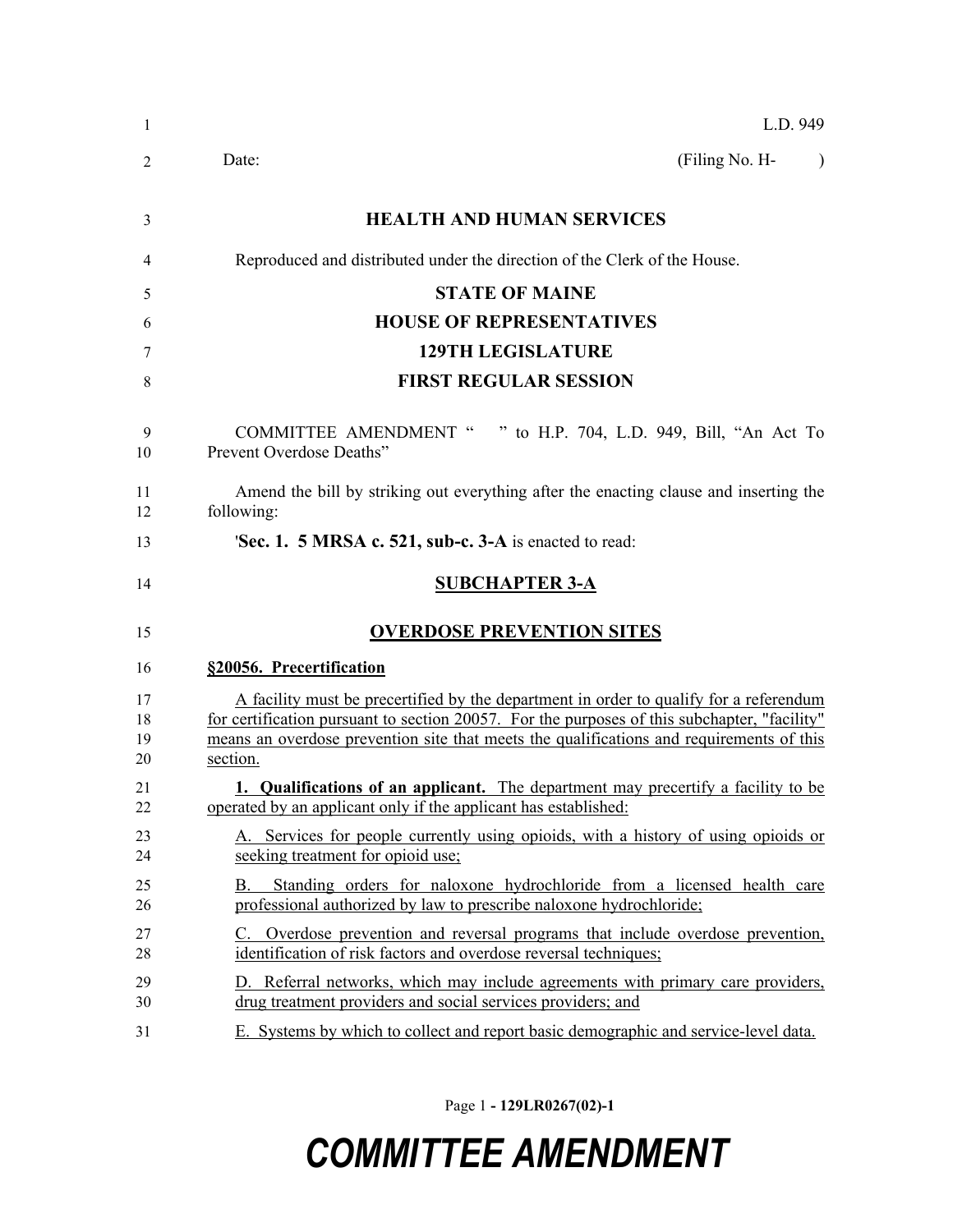| -1                   | L.D. 949                                                                                                                                                                                                                                                                                       |  |
|----------------------|------------------------------------------------------------------------------------------------------------------------------------------------------------------------------------------------------------------------------------------------------------------------------------------------|--|
| 2                    | (Filing No. H-<br>Date:<br>$\lambda$                                                                                                                                                                                                                                                           |  |
| 3                    | <b>HEALTH AND HUMAN SERVICES</b>                                                                                                                                                                                                                                                               |  |
| 4                    | Reproduced and distributed under the direction of the Clerk of the House.                                                                                                                                                                                                                      |  |
| 5                    | <b>STATE OF MAINE</b>                                                                                                                                                                                                                                                                          |  |
| 6                    | <b>HOUSE OF REPRESENTATIVES</b>                                                                                                                                                                                                                                                                |  |
| 7                    | <b>129TH LEGISLATURE</b>                                                                                                                                                                                                                                                                       |  |
| 8                    | <b>FIRST REGULAR SESSION</b>                                                                                                                                                                                                                                                                   |  |
| 9<br>10              | COMMITTEE AMENDMENT " " to H.P. 704, L.D. 949, Bill, "An Act To<br>Prevent Overdose Deaths"                                                                                                                                                                                                    |  |
| 11<br>12             | Amend the bill by striking out everything after the enacting clause and inserting the<br>following:                                                                                                                                                                                            |  |
| 13                   | 'Sec. 1. 5 MRSA c. 521, sub-c. 3-A is enacted to read:                                                                                                                                                                                                                                         |  |
| 14                   | <b>SUBCHAPTER 3-A</b>                                                                                                                                                                                                                                                                          |  |
| 15                   | <b>OVERDOSE PREVENTION SITES</b>                                                                                                                                                                                                                                                               |  |
| 16                   | §20056. Precertification                                                                                                                                                                                                                                                                       |  |
| 17<br>18<br>19<br>20 | A facility must be precertified by the department in order to qualify for a referendum<br>for certification pursuant to section 20057. For the purposes of this subchapter, "facility"<br>means an overdose prevention site that meets the qualifications and requirements of this<br>section. |  |
| 21<br>22             | 1. Qualifications of an applicant. The department may precertify a facility to be<br>operated by an applicant only if the applicant has established:                                                                                                                                           |  |
| 23<br>24             | A. Services for people currently using opioids, with a history of using opioids or<br>seeking treatment for opioid use;                                                                                                                                                                        |  |
| 25<br>26             | Standing orders for naloxone hydrochloride from a licensed health care<br>В.<br>professional authorized by law to prescribe naloxone hydrochloride;                                                                                                                                            |  |
| 27<br>28             | C. Overdose prevention and reversal programs that include overdose prevention,<br>identification of risk factors and overdose reversal techniques;                                                                                                                                             |  |
| 29<br>30             | D. Referral networks, which may include agreements with primary care providers,<br>drug treatment providers and social services providers; and                                                                                                                                                 |  |
| 31                   | E. Systems by which to collect and report basic demographic and service-level data.                                                                                                                                                                                                            |  |

Page 1 **- 129LR0267(02)-1**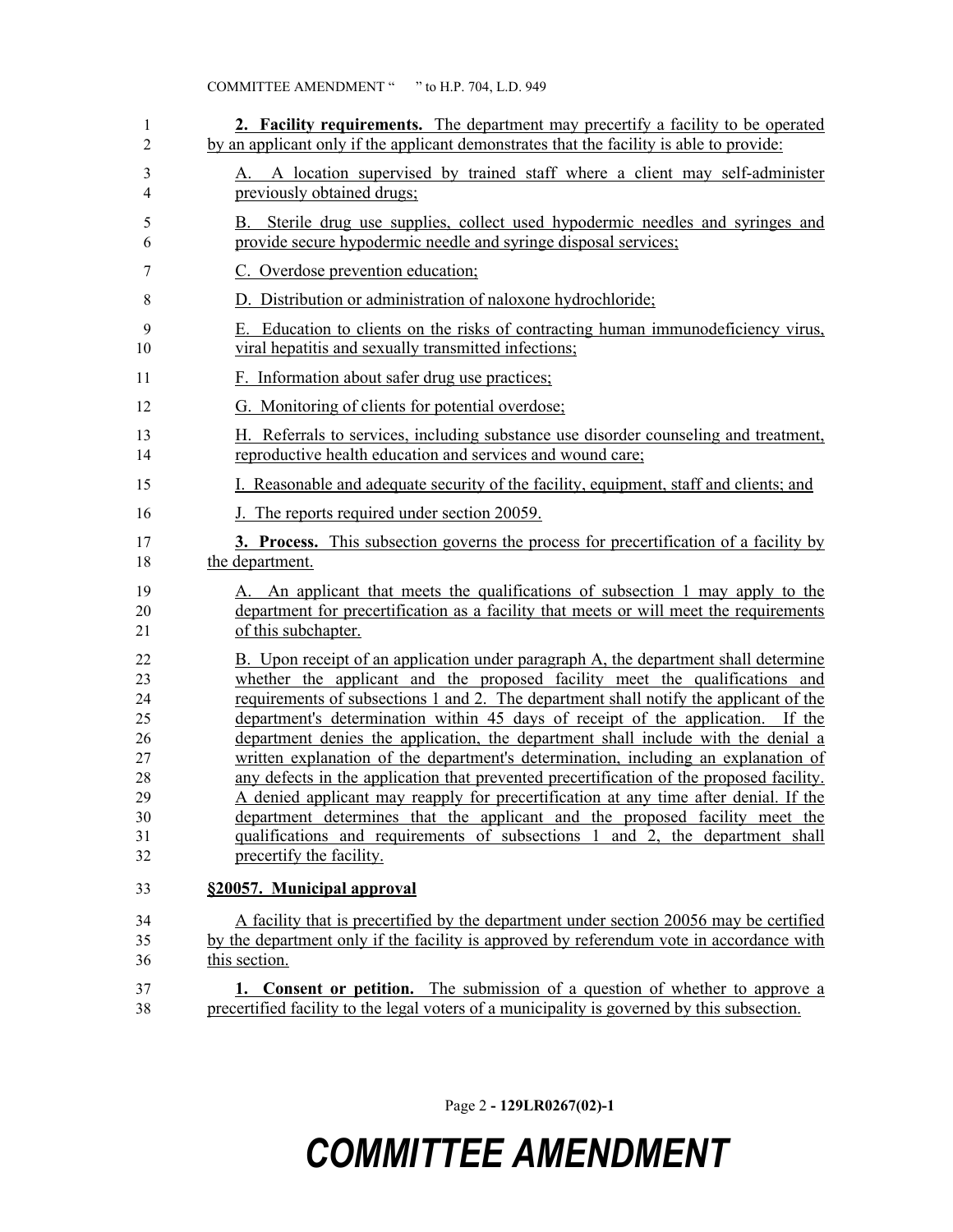| 1      | 2. Facility requirements. The department may precertify a facility to be operated                             |
|--------|---------------------------------------------------------------------------------------------------------------|
| 2      | by an applicant only if the applicant demonstrates that the facility is able to provide:                      |
| 3<br>4 | A location supervised by trained staff where a client may self-administer<br>А.<br>previously obtained drugs; |
| 5      | B. Sterile drug use supplies, collect used hypodermic needles and syringes and                                |
| 6      | provide secure hypodermic needle and syringe disposal services;                                               |
| 7      | C. Overdose prevention education;                                                                             |
| 8      | D. Distribution or administration of naloxone hydrochloride;                                                  |
| 9      | E. Education to clients on the risks of contracting human immunodeficiency virus,                             |
| 10     | viral hepatitis and sexually transmitted infections;                                                          |
| 11     | F. Information about safer drug use practices;                                                                |
| 12     | G. Monitoring of clients for potential overdose;                                                              |
| 13     | H. Referrals to services, including substance use disorder counseling and treatment,                          |
| 14     | reproductive health education and services and wound care;                                                    |
| 15     | I. Reasonable and adequate security of the facility, equipment, staff and clients; and                        |
| 16     | J. The reports required under section 20059.                                                                  |
| 17     | <b>3. Process.</b> This subsection governs the process for precertification of a facility by                  |
| 18     | the department.                                                                                               |
| 19     | A. An applicant that meets the qualifications of subsection 1 may apply to the                                |
| 20     | department for precertification as a facility that meets or will meet the requirements                        |
| 21     | of this subchapter.                                                                                           |
| 22     | B. Upon receipt of an application under paragraph A, the department shall determine                           |
| 23     | whether the applicant and the proposed facility meet the qualifications and                                   |
| 24     | requirements of subsections 1 and 2. The department shall notify the applicant of the                         |
| 25     | department's determination within 45 days of receipt of the application. If the                               |
| 26     | department denies the application, the department shall include with the denial a                             |
| 27     | written explanation of the department's determination, including an explanation of                            |
| 28     | any defects in the application that prevented precertification of the proposed facility.                      |
| 29     | A denied applicant may reapply for precertification at any time after denial. If the                          |
| 30     | department determines that the applicant and the proposed facility meet the                                   |
| 31     | qualifications and requirements of subsections 1 and 2, the department shall                                  |
| 32     | precertify the facility.                                                                                      |
| 33     | §20057. Municipal approval                                                                                    |
| 34     | A facility that is precertified by the department under section 20056 may be certified                        |
| 35     | by the department only if the facility is approved by referendum vote in accordance with                      |
| 36     | this section.                                                                                                 |
| 37     | 1. Consent or petition. The submission of a question of whether to approve a                                  |
| 38     | precertified facility to the legal voters of a municipality is governed by this subsection.                   |

Page 2 **- 129LR0267(02)-1**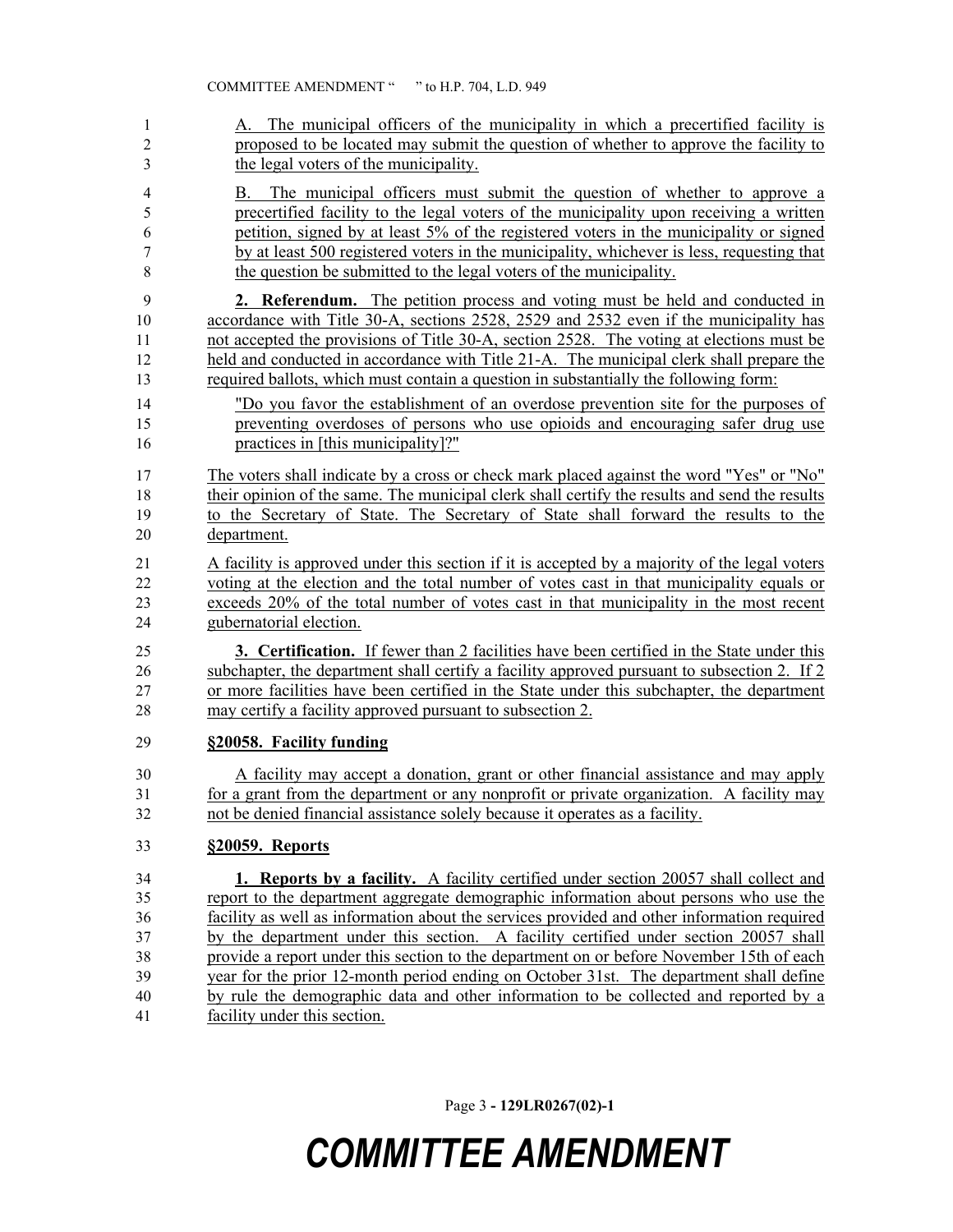| $\mathbf{1}$<br>$\overline{c}$<br>3 | A. The municipal officers of the municipality in which a precertified facility is<br>proposed to be located may submit the question of whether to approve the facility to<br>the legal voters of the municipality. |
|-------------------------------------|--------------------------------------------------------------------------------------------------------------------------------------------------------------------------------------------------------------------|
| $\overline{4}$                      | The municipal officers must submit the question of whether to approve a<br>В.                                                                                                                                      |
| 5                                   | precertified facility to the legal voters of the municipality upon receiving a written                                                                                                                             |
| 6                                   | petition, signed by at least 5% of the registered voters in the municipality or signed                                                                                                                             |
| 7<br>8                              | by at least 500 registered voters in the municipality, whichever is less, requesting that<br>the question be submitted to the legal voters of the municipality.                                                    |
| 9                                   | 2. Referendum. The petition process and voting must be held and conducted in                                                                                                                                       |
| 10                                  | accordance with Title 30-A, sections 2528, 2529 and 2532 even if the municipality has                                                                                                                              |
| 11                                  | not accepted the provisions of Title 30-A, section 2528. The voting at elections must be                                                                                                                           |
| 12<br>13                            | held and conducted in accordance with Title 21-A. The municipal clerk shall prepare the<br>required ballots, which must contain a question in substantially the following form:                                    |
| 14                                  | "Do you favor the establishment of an overdose prevention site for the purposes of                                                                                                                                 |
| 15                                  | preventing overdoses of persons who use opioids and encouraging safer drug use                                                                                                                                     |
| 16                                  | practices in [this municipality]?"                                                                                                                                                                                 |
| 17                                  | The voters shall indicate by a cross or check mark placed against the word "Yes" or "No"                                                                                                                           |
| 18                                  | their opinion of the same. The municipal clerk shall certify the results and send the results                                                                                                                      |
| 19                                  | to the Secretary of State. The Secretary of State shall forward the results to the                                                                                                                                 |
| 20                                  | department.                                                                                                                                                                                                        |
| 21                                  | A facility is approved under this section if it is accepted by a majority of the legal voters                                                                                                                      |
| 22                                  | voting at the election and the total number of votes cast in that municipality equals or                                                                                                                           |
| 23<br>24                            | exceeds 20% of the total number of votes cast in that municipality in the most recent<br>gubernatorial election.                                                                                                   |
|                                     |                                                                                                                                                                                                                    |
| 25                                  | 3. Certification. If fewer than 2 facilities have been certified in the State under this                                                                                                                           |
| 26<br>27                            | subchapter, the department shall certify a facility approved pursuant to subsection 2. If 2<br>or more facilities have been certified in the State under this subchapter, the department                           |
| 28                                  | may certify a facility approved pursuant to subsection 2.                                                                                                                                                          |
| 29                                  | §20058. Facility funding                                                                                                                                                                                           |
|                                     |                                                                                                                                                                                                                    |
| 30                                  | A facility may accept a donation, grant or other financial assistance and may apply                                                                                                                                |
| 31<br>32                            | for a grant from the department or any nonprofit or private organization. A facility may<br>not be denied financial assistance solely because it operates as a facility.                                           |
|                                     |                                                                                                                                                                                                                    |
| 33                                  | §20059. Reports                                                                                                                                                                                                    |
| 34                                  | <b>1. Reports by a facility.</b> A facility certified under section 20057 shall collect and                                                                                                                        |
| 35                                  | report to the department aggregate demographic information about persons who use the                                                                                                                               |
| 36<br>37                            | facility as well as information about the services provided and other information required<br>by the department under this section. A facility certified under section 20057 shall                                 |
| 38                                  | provide a report under this section to the department on or before November 15th of each                                                                                                                           |
| 39                                  | year for the prior 12-month period ending on October 31st. The department shall define                                                                                                                             |
| 40                                  | by rule the demographic data and other information to be collected and reported by a                                                                                                                               |
| 41                                  | facility under this section.                                                                                                                                                                                       |

Page 3 **- 129LR0267(02)-1**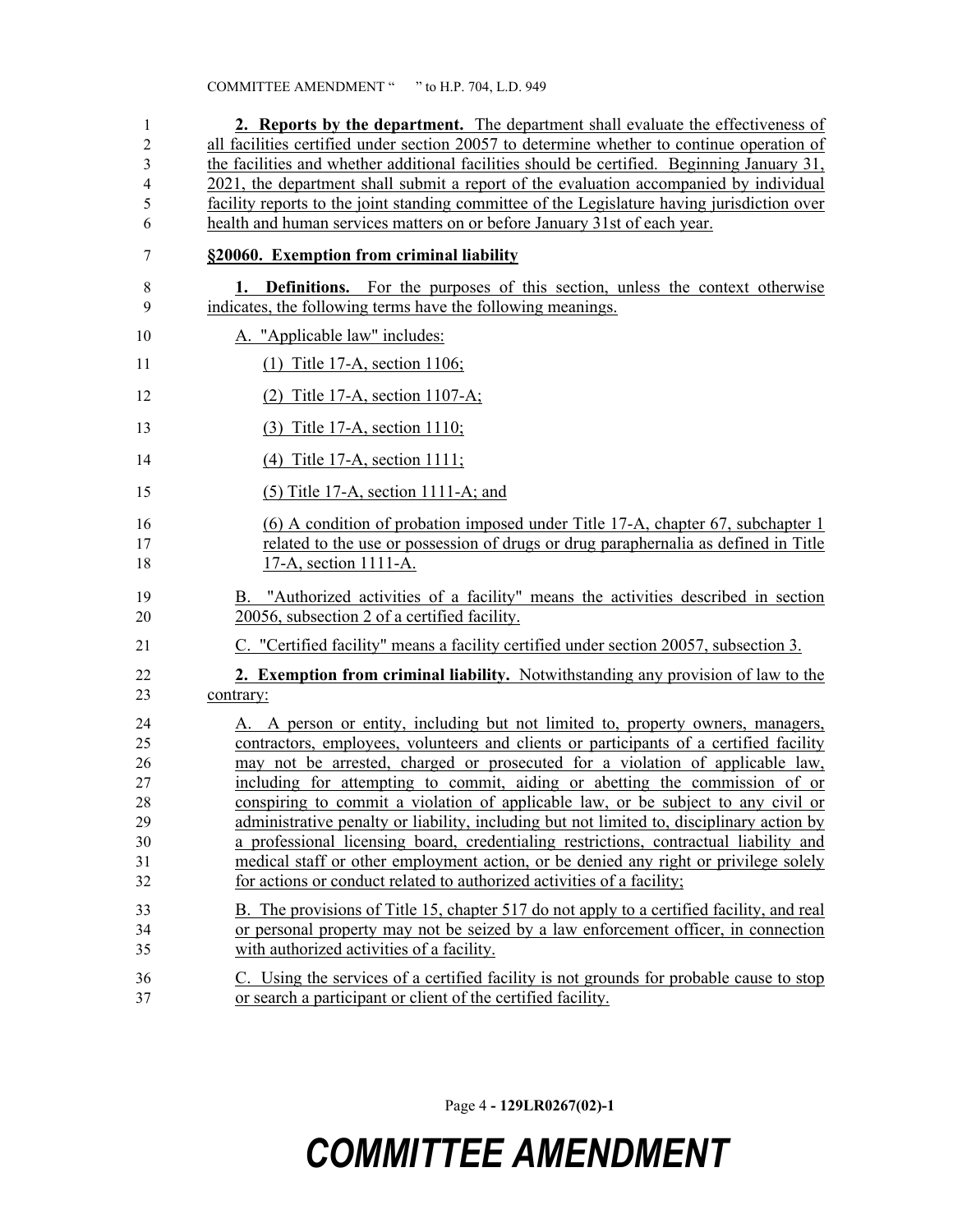| 1                       | 2. Reports by the department. The department shall evaluate the effectiveness of             |
|-------------------------|----------------------------------------------------------------------------------------------|
| $\overline{\mathbf{c}}$ | all facilities certified under section 20057 to determine whether to continue operation of   |
| 3                       | the facilities and whether additional facilities should be certified. Beginning January 31,  |
| 4                       | 2021, the department shall submit a report of the evaluation accompanied by individual       |
| 5                       | facility reports to the joint standing committee of the Legislature having jurisdiction over |
| 6                       | health and human services matters on or before January 31st of each year.                    |
| 7                       | §20060. Exemption from criminal liability                                                    |
| 8                       | <b>1. Definitions.</b> For the purposes of this section, unless the context otherwise        |
| 9                       | indicates, the following terms have the following meanings.                                  |
| 10                      | A. "Applicable law" includes:                                                                |
| 11                      | $(1)$ Title 17-A, section 1106;                                                              |
| 12                      | (2) Title 17-A, section 1107-A;                                                              |
| 13                      | (3) Title 17-A, section 1110;                                                                |
| 14                      | $(4)$ Title 17-A, section 1111;                                                              |
| 15                      | $(5)$ Title 17-A, section 1111-A; and                                                        |
| 16                      | (6) A condition of probation imposed under Title 17-A, chapter 67, subchapter 1              |
| 17                      | related to the use or possession of drugs or drug paraphernalia as defined in Title          |
| 18                      | 17-A, section 1111-A.                                                                        |
| 19                      | B. "Authorized activities of a facility" means the activities described in section           |
| 20                      | 20056, subsection 2 of a certified facility.                                                 |
| 21                      | C. "Certified facility" means a facility certified under section 20057, subsection 3.        |
| 22                      | <b>2. Exemption from criminal liability.</b> Notwithstanding any provision of law to the     |
| 23                      | contrary:                                                                                    |
| 24                      | A. A person or entity, including but not limited to, property owners, managers,              |
| 25                      | contractors, employees, volunteers and clients or participants of a certified facility       |
| 26                      | may not be arrested, charged or prosecuted for a violation of applicable law,                |
| 27                      | including for attempting to commit, aiding or abetting the commission of or                  |
| 28                      | conspiring to commit a violation of applicable law, or be subject to any civil or            |
| 29                      | administrative penalty or liability, including but not limited to, disciplinary action by    |
| 30                      | a professional licensing board, credentialing restrictions, contractual liability and        |
| 31                      | medical staff or other employment action, or be denied any right or privilege solely         |
| 32                      | for actions or conduct related to authorized activities of a facility;                       |
| 33                      | B. The provisions of Title 15, chapter 517 do not apply to a certified facility, and real    |
| 34                      | or personal property may not be seized by a law enforcement officer, in connection           |
| 35                      | with authorized activities of a facility.                                                    |
| 36                      | C. Using the services of a certified facility is not grounds for probable cause to stop      |
| 37                      | or search a participant or client of the certified facility.                                 |

Page 4 **- 129LR0267(02)-1**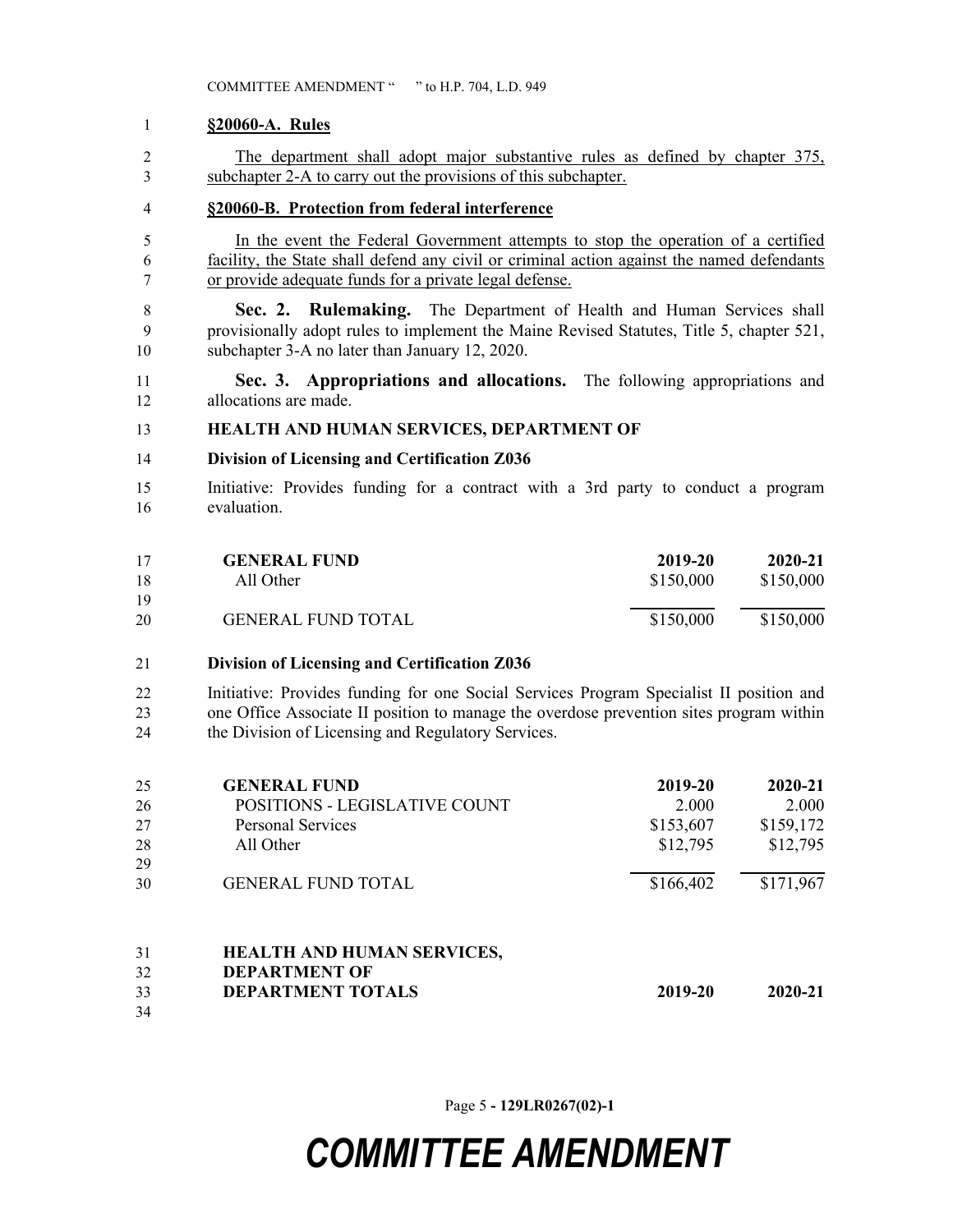#### **§20060-A. Rules**

 The department shall adopt major substantive rules as defined by chapter 375, subchapter 2-A to carry out the provisions of this subchapter.

### **§20060-B. Protection from federal interference**

- In the event the Federal Government attempts to stop the operation of a certified facility, the State shall defend any civil or criminal action against the named defendants or provide adequate funds for a private legal defense.
- **Sec. 2. Rulemaking.** The Department of Health and Human Services shall provisionally adopt rules to implement the Maine Revised Statutes, Title 5, chapter 521, subchapter 3-A no later than January 12, 2020.
- **Sec. 3. Appropriations and allocations.** The following appropriations and allocations are made.

#### **HEALTH AND HUMAN SERVICES, DEPARTMENT OF**

#### **Division of Licensing and Certification Z036**

 Initiative: Provides funding for a contract with a 3rd party to conduct a program evaluation.

| 17 | <b>GENERAL FUND</b>       | 2019-20   | 2020-21   |
|----|---------------------------|-----------|-----------|
| 18 | All Other                 | \$150,000 | \$150,000 |
| 19 |                           |           |           |
| 20 | <b>GENERAL FUND TOTAL</b> | \$150,000 | \$150,000 |

#### **Division of Licensing and Certification Z036**

 Initiative: Provides funding for one Social Services Program Specialist II position and one Office Associate II position to manage the overdose prevention sites program within the Division of Licensing and Regulatory Services.

| 25 | <b>GENERAL FUND</b>               | 2019-20   | 2020-21   |
|----|-----------------------------------|-----------|-----------|
| 26 | POSITIONS - LEGISLATIVE COUNT     | 2.000     | 2.000     |
| 27 | <b>Personal Services</b>          | \$153,607 | \$159,172 |
| 28 | All Other                         | \$12,795  | \$12,795  |
| 29 |                                   |           |           |
| 30 | <b>GENERAL FUND TOTAL</b>         | \$166,402 | \$171,967 |
| 31 | <b>HEALTH AND HUMAN SERVICES,</b> |           |           |

- **DEPARTMENT OF DEPARTMENT TOTALS 2019-20 2020-21**
- 

Page 5 **- 129LR0267(02)-1**